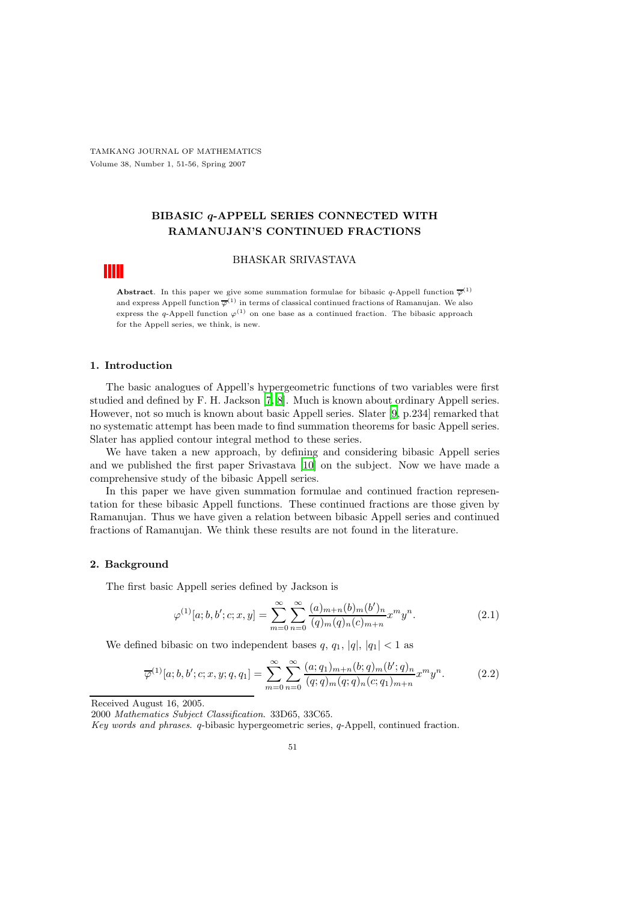TAMKANG JOURNAL OF MATHEMATICS Volume 38, Number 1, 51-56, Spring 2007

## BIBASIC q-APPELL SERIES CONNECTED WITH RAMANUJAN'S CONTINUED FRACTIONS

#### BHASKAR SRIVASTAVA

**Abstract**. In this paper we give some summation formulae for bibasic q-Appell function  $\overline{\varphi}^{(1)}$ and express Appell function  $\overline{\varphi}^{(1)}$  in terms of classical continued fractions of Ramanujan. We also express the q-Appell function  $\varphi^{(1)}$  on one base as a continued fraction. The bibasic approach for the Appell series, we think, is new.

#### 1. Introduction

The basic analogues of Appell's hypergeometric functions of two variables were first studied and defined by F. H. Jackson [\[7,](#page-5-0) [8](#page-5-1)]. Much is known about ordinary Appell series. However, not so much is known about basic Appell series. Slater [\[9,](#page-5-2) p.234] remarked that no systematic attempt has been made to find summation theorems for basic Appell series. Slater has applied contour integral method to these series.

We have taken a new approach, by defining and considering bibasic Appell series and we published the first paper Srivastava [\[10\]](#page-5-3) on the subject. Now we have made a comprehensive study of the bibasic Appell series.

In this paper we have given summation formulae and continued fraction representation for these bibasic Appell functions. These continued fractions are those given by Ramanujan. Thus we have given a relation between bibasic Appell series and continued fractions of Ramanujan. We think these results are not found in the literature.

#### 2. Background

The first basic Appell series defined by Jackson is

$$
\varphi^{(1)}[a;b,b';c;x,y] = \sum_{m=0}^{\infty} \sum_{n=0}^{\infty} \frac{(a)_{m+n}(b)_m(b')_n}{(q)_m(q)_n(c)_{m+n}} x^m y^n.
$$
\n(2.1)

We defined bibasic on two independent bases q,  $q_1$ ,  $|q|$ ,  $|q_1|$  < 1 as

$$
\overline{\varphi}^{(1)}[a;b,b';c;x,y;q,q_1] = \sum_{m=0}^{\infty} \sum_{n=0}^{\infty} \frac{(a;q_1)_{m+n}(b;q)_m(b';q)_n}{(q;q)_m(q;q)_n(c;q_1)_{m+n}} x^m y^n.
$$
(2.2)

Received August 16, 2005.

2000 Mathematics Subject Classification. 33D65, 33C65.

Key words and phrases. q-bibasic hypergeometric series, q-Appell, continued fraction.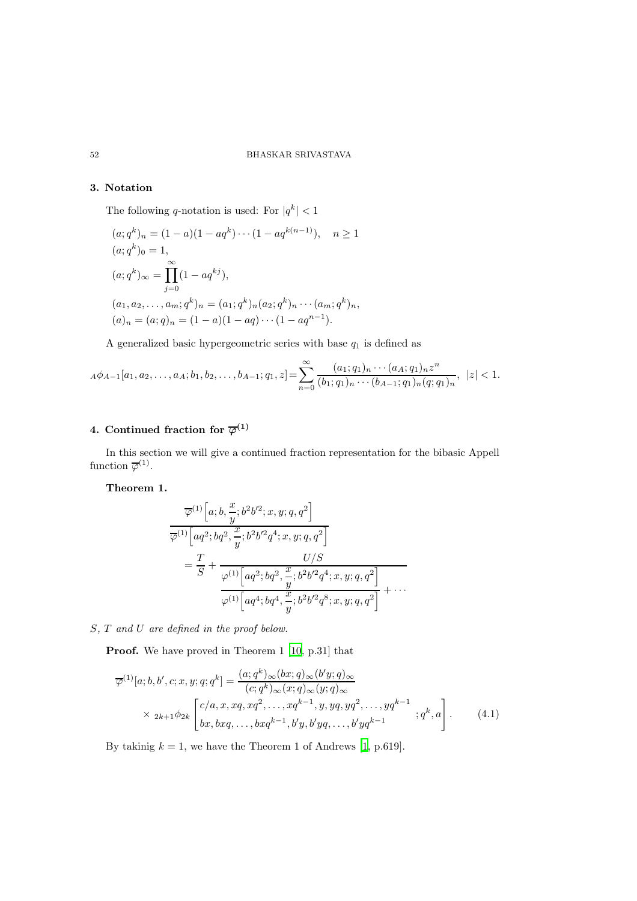#### 52 BHASKAR SRIVASTAVA

### 3. Notation

The following q-notation is used: For  $|q^k|$  < 1

$$
(a;q^k)_n = (1-a)(1-aq^k)\cdots(1-aq^{k(n-1)}), \quad n \ge 1
$$
  
\n
$$
(a;q^k)_0 = 1,
$$
  
\n
$$
(a;q^k)_{\infty} = \prod_{j=0}^{\infty} (1-aq^{kj}),
$$
  
\n
$$
(a_1,a_2,\ldots,a_m;q^k)_n = (a_1;q^k)_n(a_2;q^k)_n\cdots(a_m;q^k)_n,
$$
  
\n
$$
(a)_n = (a;q)_n = (1-a)(1-aq)\cdots(1-aq^{n-1}).
$$

A generalized basic hypergeometric series with base  $q_1$  is defined as

$$
_A\phi_{A-1}[a_1,a_2,\ldots,a_A;b_1,b_2,\ldots,b_{A-1};q_1,z] = \sum_{n=0}^{\infty} \frac{(a_1;q_1)_n\cdots(a_A;q_1)_n z^n}{(b_1;q_1)_n\cdots(b_{A-1};q_1)_n(q;q_1)_n}, \ |z| < 1.
$$

## 4. Continued fraction for  $\overline{\varphi}^{(1)}$

In this section we will give a continued fraction representation for the bibasic Appell function  $\overline{\varphi}^{(1)}$ .

Theorem 1.

$$
\overline{\varphi}^{(1)}\left[a;b,\frac{x}{y};b^{2}b'^{2};x,y;q,q^{2}\right]\n\n=\frac{T}{S}+\frac{U/S}{\varphi^{(1)}\left[aq^{2};bq^{2},\frac{x}{y};b^{2}b'^{2}q^{4};x,y;q,q^{2}\right]}\n\n=\frac{T}{S}+\frac{U/S}{\varphi^{(1)}\left[aq^{2};bq^{2},\frac{x}{y};b^{2}b'^{2}q^{4};x,y;q,q^{2}\right]}+\cdots
$$

S, T and U are defined in the proof below.

<span id="page-1-0"></span>Proof. We have proved in Theorem 1 [\[10,](#page-5-3) p.31] that

$$
\overline{\varphi}^{(1)}[a;b,b',c;x,y;q;q^k] = \frac{(a;q^k)_{\infty}(bx;q)_{\infty}(b'y;q)_{\infty}}{(c;q^k)_{\infty}(x;q)_{\infty}(y;q)_{\infty}}
$$
  
 
$$
\times 2k+1\phi_{2k} \begin{bmatrix} c/a,x,xq,xq^2,\ldots,xq^{k-1},y,yq,yq^2,\ldots,yq^{k-1} \\ bx,bxq,\ldots,bxq^{k-1},b'y,b'yq,\ldots,b'yq^{k-1} \end{bmatrix} ; q^k, a \end{bmatrix} .
$$
 (4.1)

By takinig  $k = 1$ , we have the Theorem 1 of Andrews [\[1,](#page-5-4) p.619].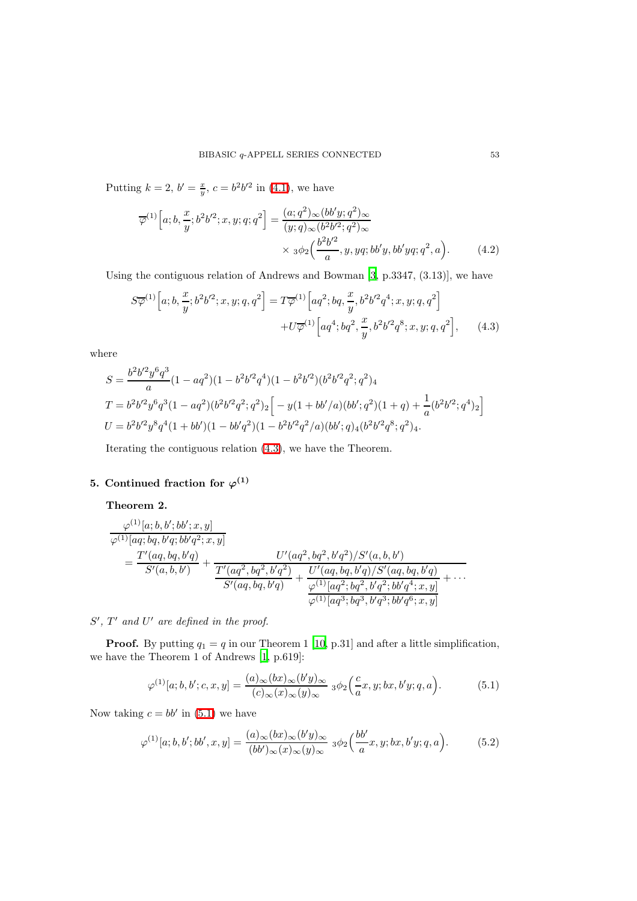Putting  $k = 2, b' = \frac{x}{y}, c = b^2 b'^2$  in [\(4.1\)](#page-1-0), we have

$$
\overline{\varphi}^{(1)}\left[a;b,\frac{x}{y};b^{2}b'^{2};x,y;q;q^{2}\right]=\frac{(a;q^{2})_{\infty}(bb'y;q^{2})_{\infty}}{(y;q)_{\infty}(b^{2}b'^{2};q^{2})_{\infty}}\times{}_{3}\phi_{2}\left(\frac{b^{2}b'^{2}}{a},y,yq;bb'y,yb'yq;q^{2},a\right).
$$
 (4.2)

<span id="page-2-0"></span>Using the contiguous relation of Andrews and Bowman [\[3](#page-5-5), p.3347, (3.13)], we have

$$
S\overline{\varphi}^{(1)}\left[a;b,\frac{x}{y};b^{2}b'^{2};x,y;q,q^{2}\right] = T\overline{\varphi}^{(1)}\left[aq^{2};bq,\frac{x}{y},b^{2}b'^{2}q^{4};x,y;q,q^{2}\right] + U\overline{\varphi}^{(1)}\left[aq^{4};bq^{2},\frac{x}{y},b^{2}b'^{2}q^{8};x,y;q,q^{2}\right],\tag{4.3}
$$

where

$$
S = \frac{b^2 b'^2 y^6 q^3}{a} (1 - aq^2)(1 - b^2 b'^2 q^4)(1 - b^2 b'^2)(b^2 b'^2 q^2; q^2)_4
$$
  
\n
$$
T = b^2 b'^2 y^6 q^3 (1 - aq^2)(b^2 b'^2 q^2; q^2)_2 \Big[ -y(1 + bb'/a)(bb'; q^2)(1 + q) + \frac{1}{a}(b^2 b'^2; q^4)_2 \Big]
$$
  
\n
$$
U = b^2 b'^2 y^8 q^4 (1 + bb')(1 - bb'q^2)(1 - b^2 b'^2 q^2/a)(bb'; q)_4 (b^2 b'^2 q^8; q^2)_4.
$$

Iterating the contiguous relation [\(4.3\)](#page-2-0), we have the Theorem.

# 5. Continued fraction for  $\varphi^{(1)}$

## Theorem 2.

$$
\frac{\varphi^{(1)}[a;b,b';bb';x,y]}{\varphi^{(1)}[aq;bq,b'q;bb'q^2;x,y]} = \frac{T'(aq,bq,b'q)}{S'(a,b,b')} + \frac{U'(aq^2,bq^2,b'q^2)/S'(a,b,b')}{\frac{T'(aq^2,bq^2,b'q^2)}{S'(aq,bq,b'q)}} + \frac{U'(aq,bq,b'q)/S'(aq,bq,b'q)}{\varphi^{(1)}[aq^2;bq^2,b'q^2;bb'q^4;x,y]} + \cdots
$$

 $S'$ ,  $T'$  and  $U'$  are defined in the proof.

**Proof.** By putting  $q_1 = q$  in our Theorem 1 [\[10,](#page-5-3) p.31] and after a little simplification, we have the Theorem 1 of Andrews [\[1,](#page-5-4) p.619]:

<span id="page-2-1"></span>
$$
\varphi^{(1)}[a;b,b';c,x,y] = \frac{(a)_{\infty}(bx)_{\infty}(b'y)_{\infty}}{(c)_{\infty}(x)_{\infty}(y)_{\infty}} 3\phi_2\left(\frac{c}{a}x,y,bx,b'y;q,a\right). \tag{5.1}
$$

Now taking  $c = bb'$  in [\(5.1\)](#page-2-1) we have

$$
\varphi^{(1)}[a;b,b';bb',x,y] = \frac{(a)_{\infty}(bx)_{\infty}(b'y)_{\infty}}{(bb')_{\infty}(x)_{\infty}(y)_{\infty}} \; \, {}_3\phi_2\left(\frac{bb'}{a}x,y;bx,b'y;q,a\right). \tag{5.2}
$$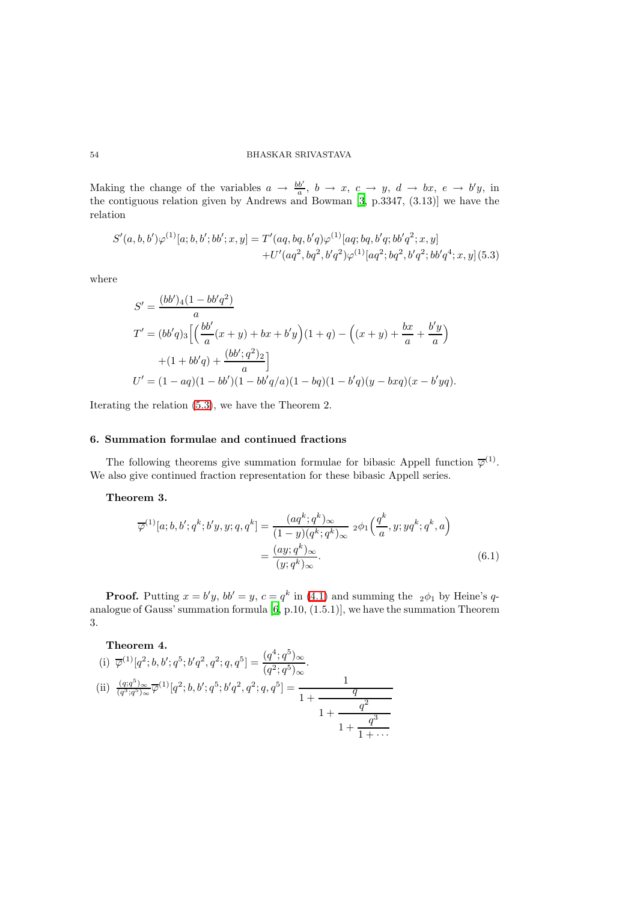#### 54 BHASKAR SRIVASTAVA

Making the change of the variables  $a \to \frac{bb'}{a}$ ,  $b \to x$ ,  $c \to y$ ,  $d \to bx$ ,  $e \to b'y$ , in the contiguous relation given by Andrews and Bowman [\[3,](#page-5-5) p.3347, (3.13)] we have the relation

$$
S'(a, b, b')\varphi^{(1)}[a; b, b'; bb'; x, y] = T'(aq, bq, b'q)\varphi^{(1)}[aq; bq, b'q; bb'q^{2}; x, y] + U'(aq^{2}, bq^{2}, b'q^{2})\varphi^{(1)}[aq^{2}; bq^{2}, b'q^{2}; bb'q^{4}; x, y]
$$
(5.3)

<span id="page-3-0"></span>where

$$
S' = \frac{(bb')_4(1 - bb'q^2)}{a}
$$
  
\n
$$
T' = (bb'q)_3 \left[ \left( \frac{bb'}{a} (x + y) + bx + b'y \right) (1 + q) - \left( (x + y) + \frac{bx}{a} + \frac{b'y}{a} \right) \right.
$$
  
\n
$$
+ (1 + bb'q) + \frac{(bb';q^2)_2}{a} \right]
$$
  
\n
$$
U' = (1 - aq)(1 - bb')(1 - bb'q/a)(1 - bq)(1 - b'q)(y - bxq)(x - b'yq).
$$

Iterating the relation [\(5.3\)](#page-3-0), we have the Theorem 2.

## 6. Summation formulae and continued fractions

The following theorems give summation formulae for bibasic Appell function  $\overline{\varphi}^{(1)}$ . We also give continued fraction representation for these bibasic Appell series.

## Theorem 3.

$$
\overline{\varphi}^{(1)}[a;b,b';q^k;b'y,y;q,q^k] = \frac{(aq^k;q^k)_{\infty}}{(1-y)(q^k;q^k)_{\infty}} 2\phi_1\left(\frac{q^k}{a},y;yq^k;q^k,a\right)
$$

$$
= \frac{(ay;q^k)_{\infty}}{(y;q^k)_{\infty}}.
$$
(6.1)

**Proof.** Putting  $x = b'y$ ,  $bb' = y$ ,  $c = q^k$  in [\(4.1\)](#page-1-0) and summing the  ${}_2\phi_1$  by Heine's qanalogue of Gauss' summation formula [\[6](#page-5-6), p.10, (1.5.1)], we have the summation Theorem 3.

Theorem 4.  
\n(i) 
$$
\overline{\varphi}^{(1)}[q^2; b, b'; q^5; b'q^2, q^2; q, q^5] = \frac{(q^4; q^5)_{\infty}}{(q^2; q^5)_{\infty}}
$$
.  
\n(ii)  $\frac{(q; q^5)_{\infty}}{(q^3; q^5)_{\infty}} \overline{\varphi}^{(1)}[q^2; b, b'; q^5; b'q^2, q^2; q, q^5] = \frac{1}{1 + \frac{q^2}{1 + \frac{q^3}{1 + \cdots}}}}$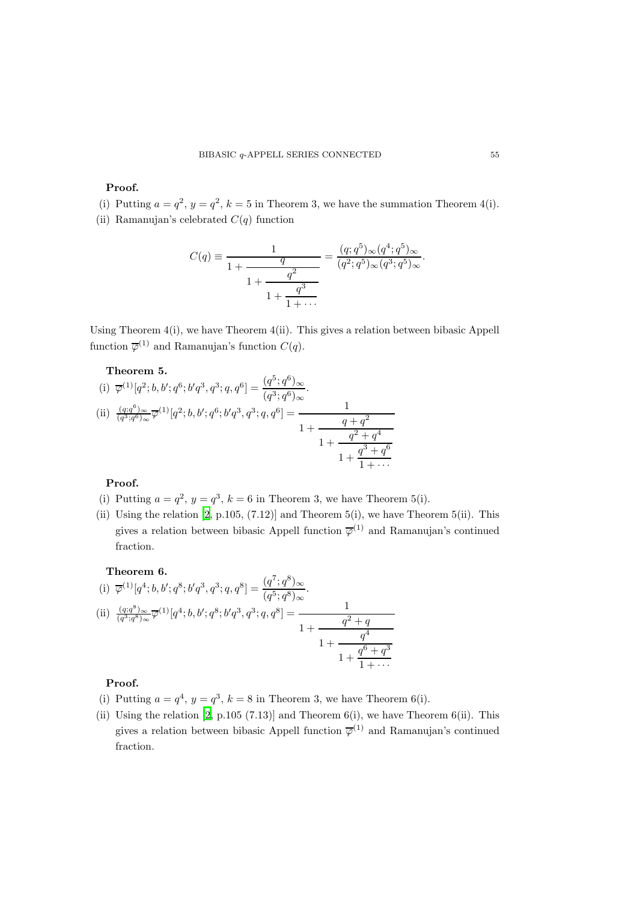#### Proof.

(i) Putting  $a = q^2$ ,  $y = q^2$ ,  $k = 5$  in Theorem 3, we have the summation Theorem 4(i).

(ii) Ramanujan's celebrated  $C(q)$  function

$$
C(q) \equiv \frac{1}{1 + \frac{q}{1 + \frac{q^2}{1 + \dotsb}}} = \frac{(q; q^5)_{\infty} (q^4; q^5)_{\infty}}{(q^2; q^5)_{\infty} (q^3; q^5)_{\infty}}.
$$

Using Theorem 4(i), we have Theorem 4(ii). This gives a relation between bibasic Appell function  $\overline{\varphi}^{(1)}$  and Ramanujan's function  $C(q)$ .

## Theorem 5.

(i) 
$$
\overline{\varphi}^{(1)}[q^2; b, b'; q^6; b'q^3, q^3; q, q^6] = \frac{(q^5; q^6)_{\infty}}{(q^3; q^6)_{\infty}}
$$
.  
\n(ii)  $\frac{(q; q^6)_{\infty}}{(q^3; q^6)_{\infty}} \overline{\varphi}^{(1)}[q^2; b, b'; q^6; b'q^3, q^3; q, q^6] = \frac{1}{1 + \frac{q^2 + q^4}{1 + \frac{q^2 + q^4}{1 + \dots}}}}$ 

#### Proof.

- (i) Putting  $a = q^2$ ,  $y = q^3$ ,  $k = 6$  in Theorem 3, we have Theorem 5(i).
- (ii) Using the relation  $[2, p.105, (7.12)]$  and Theorem  $5(i)$ , we have Theorem  $5(i)$ . This gives a relation between bibasic Appell function  $\overline{\varphi}^{(1)}$  and Ramanujan's continued fraction.

### Theorem 6.

(i) 
$$
\overline{\varphi}^{(1)}[q^4; b, b'; q^8; b'q^3, q^3; q, q^8] = \frac{(q^7; q^8)_{\infty}}{(q^5; q^8)_{\infty}}
$$
.  
\n(ii)  $\frac{(q; q^8)_{\infty}}{(q^3; q^8)_{\infty}} \overline{\varphi}^{(1)}[q^4; b, b'; q^8; b'q^3, q^3; q, q^8] = \frac{1}{1 + \frac{q^2 + q}{1 + \frac{q^4}{1 + \cdots}}}}$ 

## Proof.

- (i) Putting  $a = q^4$ ,  $y = q^3$ ,  $k = 8$  in Theorem 3, we have Theorem 6(i).
- (ii) Using the relation [\[2,](#page-5-7) p.105 (7.13)] and Theorem 6(i), we have Theorem 6(ii). This gives a relation between bibasic Appell function  $\overline{\varphi}^{(1)}$  and Ramanujan's continued fraction.